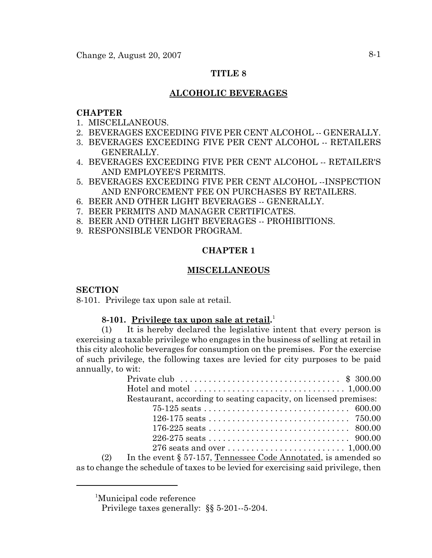## **TITLE 8**

# **ALCOHOLIC BEVERAGES**

## **CHAPTER**

- 1. MISCELLANEOUS.
- 2. BEVERAGES EXCEEDING FIVE PER CENT ALCOHOL -- GENERALLY.
- 3. BEVERAGES EXCEEDING FIVE PER CENT ALCOHOL -- RETAILERS GENERALLY.
- 4. BEVERAGES EXCEEDING FIVE PER CENT ALCOHOL -- RETAILER'S AND EMPLOYEE'S PERMITS.
- 5. BEVERAGES EXCEEDING FIVE PER CENT ALCOHOL --INSPECTION AND ENFORCEMENT FEE ON PURCHASES BY RETAILERS.
- 6. BEER AND OTHER LIGHT BEVERAGES -- GENERALLY.
- 7. BEER PERMITS AND MANAGER CERTIFICATES.
- 8. BEER AND OTHER LIGHT BEVERAGES -- PROHIBITIONS.
- 9. RESPONSIBLE VENDOR PROGRAM.

# **CHAPTER 1**

# **MISCELLANEOUS**

### **SECTION**

8-101. Privilege tax upon sale at retail.

# **8-101. Privilege tax upon sale at retail.** 1

(1) It is hereby declared the legislative intent that every person is exercising a taxable privilege who engages in the business of selling at retail in this city alcoholic beverages for consumption on the premises. For the exercise of such privilege, the following taxes are levied for city purposes to be paid annually, to wit:

|     | Private club $\ldots \ldots \ldots \ldots \ldots \ldots \ldots \ldots \ldots \ldots$ \$ 300.00 |
|-----|------------------------------------------------------------------------------------------------|
|     | Hotel and motel $\dots\dots\dots\dots\dots\dots\dots\dots\dots\dots\dots$ 1,000.00             |
|     | Restaurant, according to seating capacity, on licensed premises:                               |
|     |                                                                                                |
|     |                                                                                                |
|     |                                                                                                |
|     |                                                                                                |
|     |                                                                                                |
| (2) | In the event § 57-157, Tennessee Code Annotated, is amended so                                 |
|     |                                                                                                |

as to change the schedule of taxes to be levied for exercising said privilege, then

<sup>1</sup> Municipal code reference

Privilege taxes generally: §§ 5-201--5-204.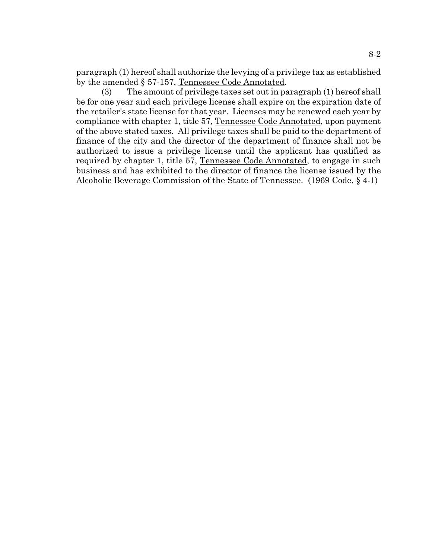paragraph (1) hereof shall authorize the levying of a privilege tax as established by the amended § 57-157, Tennessee Code Annotated.

(3) The amount of privilege taxes set out in paragraph (1) hereof shall be for one year and each privilege license shall expire on the expiration date of the retailer's state license for that year. Licenses may be renewed each year by compliance with chapter 1, title 57, Tennessee Code Annotated, upon payment of the above stated taxes. All privilege taxes shall be paid to the department of finance of the city and the director of the department of finance shall not be authorized to issue a privilege license until the applicant has qualified as required by chapter 1, title 57, Tennessee Code Annotated, to engage in such business and has exhibited to the director of finance the license issued by the Alcoholic Beverage Commission of the State of Tennessee. (1969 Code, § 4-1)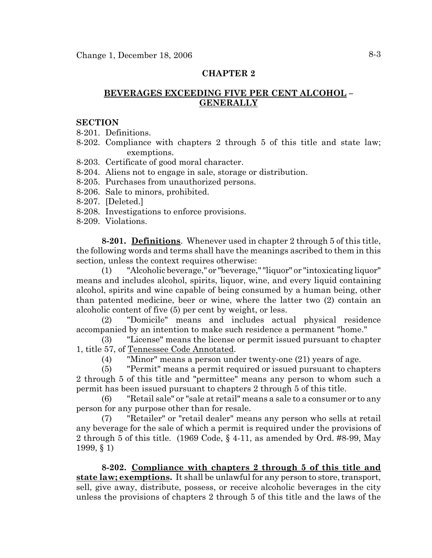# **BEVERAGES EXCEEDING FIVE PER CENT ALCOHOL – GENERALLY**

### **SECTION**

8-201. Definitions.

- 8-202. Compliance with chapters 2 through 5 of this title and state law; exemptions.
- 8-203. Certificate of good moral character.
- 8-204. Aliens not to engage in sale, storage or distribution.
- 8-205. Purchases from unauthorized persons.
- 8-206. Sale to minors, prohibited.
- 8-207. [Deleted.]
- 8-208. Investigations to enforce provisions.
- 8-209. Violations.

**8-201. Definitions**. Whenever used in chapter 2 through 5 of this title, the following words and terms shall have the meanings ascribed to them in this section, unless the context requires otherwise:

(1) "Alcoholic beverage," or "beverage," "liquor" or "intoxicating liquor" means and includes alcohol, spirits, liquor, wine, and every liquid containing alcohol, spirits and wine capable of being consumed by a human being, other than patented medicine, beer or wine, where the latter two (2) contain an alcoholic content of five (5) per cent by weight, or less.

(2) "Domicile" means and includes actual physical residence accompanied by an intention to make such residence a permanent "home."

(3) "License" means the license or permit issued pursuant to chapter 1, title 57, of Tennessee Code Annotated.

(4) "Minor" means a person under twenty-one (21) years of age.

(5) "Permit" means a permit required or issued pursuant to chapters 2 through 5 of this title and "permittee" means any person to whom such a permit has been issued pursuant to chapters 2 through 5 of this title.

(6) "Retail sale" or "sale at retail" means a sale to a consumer or to any person for any purpose other than for resale.

(7) "Retailer" or "retail dealer" means any person who sells at retail any beverage for the sale of which a permit is required under the provisions of 2 through 5 of this title. (1969 Code, § 4-11, as amended by Ord. #8-99, May 1999, § 1)

**8-202. Compliance with chapters 2 through 5 of this title and state law; exemptions.** It shall be unlawful for any person to store, transport, sell, give away, distribute, possess, or receive alcoholic beverages in the city unless the provisions of chapters 2 through 5 of this title and the laws of the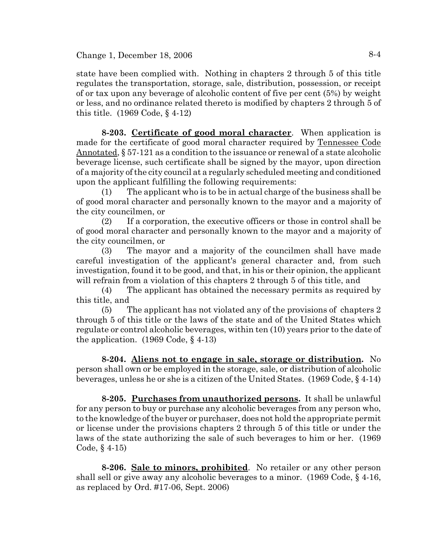Change 1, December 18, 2006  $8-4$ 

state have been complied with. Nothing in chapters 2 through 5 of this title regulates the transportation, storage, sale, distribution, possession, or receipt of or tax upon any beverage of alcoholic content of five per cent (5%) by weight or less, and no ordinance related thereto is modified by chapters 2 through 5 of this title. (1969 Code, § 4-12)

**8-203. Certificate of good moral character**. When application is made for the certificate of good moral character required by Tennessee Code Annotated, § 57-121 as a condition to the issuance or renewal of a state alcoholic beverage license, such certificate shall be signed by the mayor, upon direction of a majority of the city council at a regularly scheduled meeting and conditioned upon the applicant fulfilling the following requirements:

(1) The applicant who is to be in actual charge of the business shall be of good moral character and personally known to the mayor and a majority of the city councilmen, or

(2) If a corporation, the executive officers or those in control shall be of good moral character and personally known to the mayor and a majority of the city councilmen, or

(3) The mayor and a majority of the councilmen shall have made careful investigation of the applicant's general character and, from such investigation, found it to be good, and that, in his or their opinion, the applicant will refrain from a violation of this chapters 2 through 5 of this title, and

(4) The applicant has obtained the necessary permits as required by this title, and

(5) The applicant has not violated any of the provisions of chapters 2 through 5 of this title or the laws of the state and of the United States which regulate or control alcoholic beverages, within ten (10) years prior to the date of the application.  $(1969 \text{ Code}, \S 4-13)$ 

**8-204. Aliens not to engage in sale, storage or distribution.** No person shall own or be employed in the storage, sale, or distribution of alcoholic beverages, unless he or she is a citizen of the United States. (1969 Code, § 4-14)

**8-205. Purchases from unauthorized persons.** It shall be unlawful for any person to buy or purchase any alcoholic beverages from any person who, to the knowledge of the buyer or purchaser, does not hold the appropriate permit or license under the provisions chapters 2 through 5 of this title or under the laws of the state authorizing the sale of such beverages to him or her. (1969 Code, § 4-15)

**8-206. Sale to minors, prohibited**. No retailer or any other person shall sell or give away any alcoholic beverages to a minor. (1969 Code, § 4-16, as replaced by Ord. #17-06, Sept. 2006)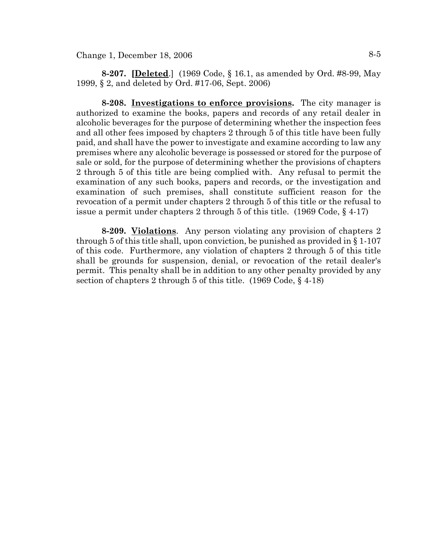**8-207. [Deleted**.] (1969 Code, § 16.1, as amended by Ord. #8-99, May 1999, § 2, and deleted by Ord. #17-06, Sept. 2006)

**8-208. Investigations to enforce provisions.** The city manager is authorized to examine the books, papers and records of any retail dealer in alcoholic beverages for the purpose of determining whether the inspection fees and all other fees imposed by chapters 2 through 5 of this title have been fully paid, and shall have the power to investigate and examine according to law any premises where any alcoholic beverage is possessed or stored for the purpose of sale or sold, for the purpose of determining whether the provisions of chapters 2 through 5 of this title are being complied with. Any refusal to permit the examination of any such books, papers and records, or the investigation and examination of such premises, shall constitute sufficient reason for the revocation of a permit under chapters 2 through 5 of this title or the refusal to issue a permit under chapters 2 through 5 of this title. (1969 Code, § 4-17)

**8-209. Violations**. Any person violating any provision of chapters 2 through 5 of this title shall, upon conviction, be punished as provided in § 1-107 of this code. Furthermore, any violation of chapters 2 through 5 of this title shall be grounds for suspension, denial, or revocation of the retail dealer's permit. This penalty shall be in addition to any other penalty provided by any section of chapters 2 through 5 of this title. (1969 Code, § 4-18)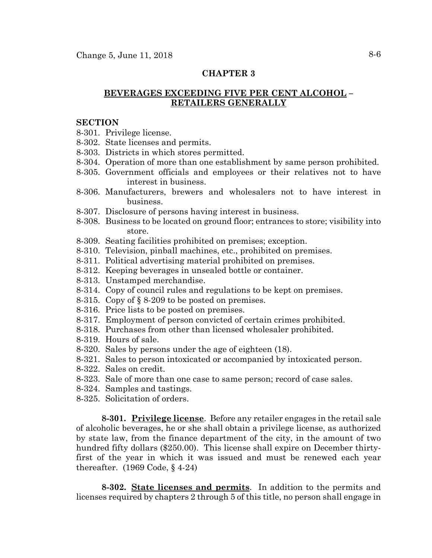# **BEVERAGES EXCEEDING FIVE PER CENT ALCOHOL – RETAILERS GENERALLY**

#### **SECTION**

- 8-301. Privilege license.
- 8-302. State licenses and permits.
- 8-303. Districts in which stores permitted.
- 8-304. Operation of more than one establishment by same person prohibited.
- 8-305. Government officials and employees or their relatives not to have interest in business.
- 8-306. Manufacturers, brewers and wholesalers not to have interest in business.
- 8-307. Disclosure of persons having interest in business.
- 8-308. Business to be located on ground floor; entrances to store; visibility into store.
- 8-309. Seating facilities prohibited on premises; exception.
- 8-310. Television, pinball machines, etc., prohibited on premises.
- 8-311. Political advertising material prohibited on premises.
- 8-312. Keeping beverages in unsealed bottle or container.
- 8-313. Unstamped merchandise.
- 8-314. Copy of council rules and regulations to be kept on premises.
- 8-315. Copy of § 8-209 to be posted on premises.
- 8-316. Price lists to be posted on premises.
- 8-317. Employment of person convicted of certain crimes prohibited.
- 8-318. Purchases from other than licensed wholesaler prohibited.
- 8-319. Hours of sale.
- 8-320. Sales by persons under the age of eighteen (18).
- 8-321. Sales to person intoxicated or accompanied by intoxicated person.
- 8-322. Sales on credit.
- 8-323. Sale of more than one case to same person; record of case sales.
- 8-324. Samples and tastings.
- 8-325. Solicitation of orders.

**8-301. Privilege license**. Before any retailer engages in the retail sale of alcoholic beverages, he or she shall obtain a privilege license, as authorized by state law, from the finance department of the city, in the amount of two hundred fifty dollars (\$250.00). This license shall expire on December thirtyfirst of the year in which it was issued and must be renewed each year thereafter. (1969 Code, § 4-24)

**8-302. State licenses and permits**. In addition to the permits and licenses required by chapters 2 through 5 of this title, no person shall engage in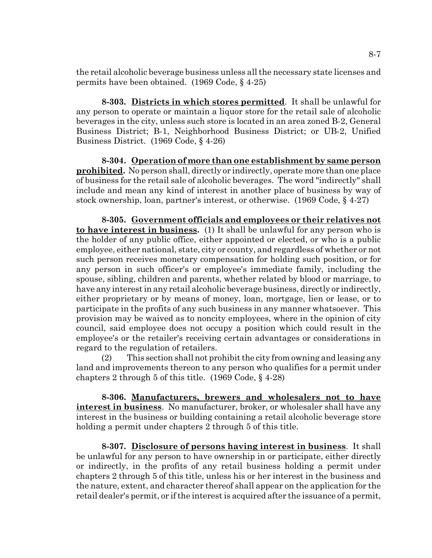the retail alcoholic beverage business unless all the necessary state licenses and permits have been obtained. (1969 Code, § 4-25)

**8-303. Districts in which stores permitted**. It shall be unlawful for any person to operate or maintain a liquor store for the retail sale of alcoholic beverages in the city, unless such store is located in an area zoned B-2, General Business District; B-1, Neighborhood Business District; or UB-2, Unified Business District. (1969 Code, § 4-26)

**8-304. Operation of more than one establishment by same person prohibited.** No person shall, directly or indirectly, operate more than one place of business for the retail sale of alcoholic beverages. The word "indirectly" shall include and mean any kind of interest in another place of business by way of stock ownership, loan, partner's interest, or otherwise. (1969 Code, § 4-27)

**8-305. Government officials and employees or their relatives not to have interest in business.** (1) It shall be unlawful for any person who is the holder of any public office, either appointed or elected, or who is a public employee, either national, state, city or county, and regardless of whether or not such person receives monetary compensation for holding such position, or for any person in such officer's or employee's immediate family, including the spouse, sibling, children and parents, whether related by blood or marriage, to have any interest in any retail alcoholic beverage business, directly or indirectly, either proprietary or by means of money, loan, mortgage, lien or lease, or to participate in the profits of any such business in any manner whatsoever. This provision may be waived as to noncity employees, where in the opinion of city council, said employee does not occupy a position which could result in the employee's or the retailer's receiving certain advantages or considerations in regard to the regulation of retailers.

(2) This section shall not prohibit the city from owning and leasing any land and improvements thereon to any person who qualifies for a permit under chapters 2 through 5 of this title. (1969 Code, § 4-28)

**8-306. Manufacturers, brewers and wholesalers not to have interest in business**. No manufacturer, broker, or wholesaler shall have any interest in the business or building containing a retail alcoholic beverage store holding a permit under chapters 2 through 5 of this title.

**8-307. Disclosure of persons having interest in business**. It shall be unlawful for any person to have ownership in or participate, either directly or indirectly, in the profits of any retail business holding a permit under chapters 2 through 5 of this title, unless his or her interest in the business and the nature, extent, and character thereof shall appear on the application for the retail dealer's permit, or if the interest is acquired after the issuance of a permit,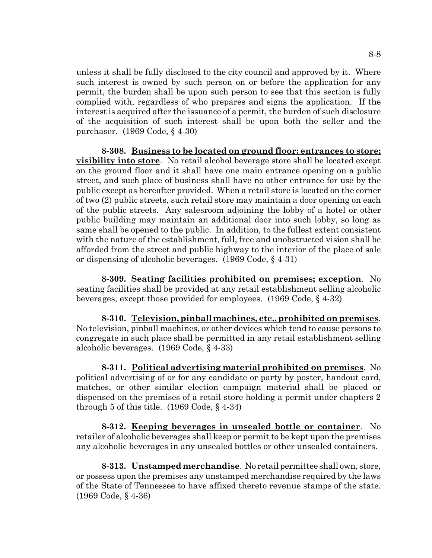unless it shall be fully disclosed to the city council and approved by it. Where such interest is owned by such person on or before the application for any permit, the burden shall be upon such person to see that this section is fully complied with, regardless of who prepares and signs the application. If the interest is acquired after the issuance of a permit, the burden of such disclosure of the acquisition of such interest shall be upon both the seller and the purchaser. (1969 Code, § 4-30)

**8-308. Business to be located on ground floor; entrances to store; visibility into store**. No retail alcohol beverage store shall be located except on the ground floor and it shall have one main entrance opening on a public street, and such place of business shall have no other entrance for use by the public except as hereafter provided. When a retail store is located on the corner of two (2) public streets, such retail store may maintain a door opening on each of the public streets. Any salesroom adjoining the lobby of a hotel or other public building may maintain an additional door into such lobby, so long as same shall be opened to the public. In addition, to the fullest extent consistent with the nature of the establishment, full, free and unobstructed vision shall be afforded from the street and public highway to the interior of the place of sale or dispensing of alcoholic beverages. (1969 Code, § 4-31)

**8-309. Seating facilities prohibited on premises; exception**. No seating facilities shall be provided at any retail establishment selling alcoholic beverages, except those provided for employees. (1969 Code, § 4-32)

**8-310. Television, pinball machines, etc., prohibited on premises**. No television, pinball machines, or other devices which tend to cause persons to congregate in such place shall be permitted in any retail establishment selling alcoholic beverages. (1969 Code, § 4-33)

**8-311. Political advertising material prohibited on premises**. No political advertising of or for any candidate or party by poster, handout card, matches, or other similar election campaign material shall be placed or dispensed on the premises of a retail store holding a permit under chapters 2 through 5 of this title.  $(1969 \text{ Code}, \S 4-34)$ 

**8-312. Keeping beverages in unsealed bottle or container**. No retailer of alcoholic beverages shall keep or permit to be kept upon the premises any alcoholic beverages in any unsealed bottles or other unsealed containers.

**8-313. Unstamped merchandise**. No retail permittee shall own, store, or possess upon the premises any unstamped merchandise required by the laws of the State of Tennessee to have affixed thereto revenue stamps of the state. (1969 Code, § 4-36)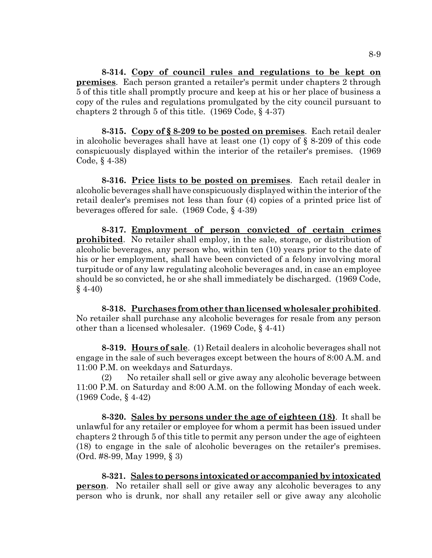**8-314. Copy of council rules and regulations to be kept on premises**. Each person granted a retailer's permit under chapters 2 through 5 of this title shall promptly procure and keep at his or her place of business a copy of the rules and regulations promulgated by the city council pursuant to chapters 2 through 5 of this title. (1969 Code, § 4-37)

**8-315. Copy of § 8-209 to be posted on premises**. Each retail dealer in alcoholic beverages shall have at least one (1) copy of § 8-209 of this code conspicuously displayed within the interior of the retailer's premises. (1969 Code, § 4-38)

**8-316. Price lists to be posted on premises**. Each retail dealer in alcoholic beverages shall have conspicuously displayed within the interior of the retail dealer's premises not less than four (4) copies of a printed price list of beverages offered for sale. (1969 Code, § 4-39)

**8-317. Employment of person convicted of certain crimes prohibited**. No retailer shall employ, in the sale, storage, or distribution of alcoholic beverages, any person who, within ten (10) years prior to the date of his or her employment, shall have been convicted of a felony involving moral turpitude or of any law regulating alcoholic beverages and, in case an employee should be so convicted, he or she shall immediately be discharged. (1969 Code,  $§$  4-40)

**8-318. Purchases from other than licensed wholesaler prohibited**. No retailer shall purchase any alcoholic beverages for resale from any person other than a licensed wholesaler. (1969 Code, § 4-41)

**8-319. Hours of sale**. (1) Retail dealers in alcoholic beverages shall not engage in the sale of such beverages except between the hours of 8:00 A.M. and 11:00 P.M. on weekdays and Saturdays.

(2) No retailer shall sell or give away any alcoholic beverage between 11:00 P.M. on Saturday and 8:00 A.M. on the following Monday of each week. (1969 Code, § 4-42)

**8-320. Sales by persons under the age of eighteen (18)**. It shall be unlawful for any retailer or employee for whom a permit has been issued under chapters 2 through 5 of this title to permit any person under the age of eighteen (18) to engage in the sale of alcoholic beverages on the retailer's premises. (Ord. #8-99, May 1999, § 3)

**8-321. Sales to persons intoxicated or accompanied by intoxicated person**. No retailer shall sell or give away any alcoholic beverages to any person who is drunk, nor shall any retailer sell or give away any alcoholic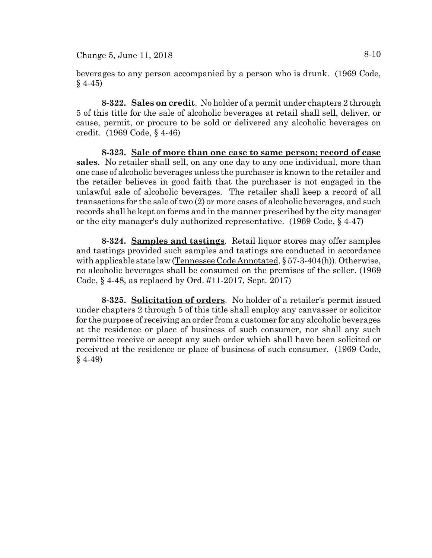Change 5, June 11, 2018  $8-10$ 

beverages to any person accompanied by a person who is drunk. (1969 Code,  $§$  4-45)

**8-322. Sales on credit**. No holder of a permit under chapters 2 through 5 of this title for the sale of alcoholic beverages at retail shall sell, deliver, or cause, permit, or procure to be sold or delivered any alcoholic beverages on credit. (1969 Code, § 4-46)

**8-323. Sale of more than one case to same person; record of case sales**. No retailer shall sell, on any one day to any one individual, more than one case of alcoholic beverages unless the purchaser is known to the retailer and the retailer believes in good faith that the purchaser is not engaged in the unlawful sale of alcoholic beverages. The retailer shall keep a record of all transactions for the sale of two (2) or more cases of alcoholic beverages, and such records shall be kept on forms and in the manner prescribed by the city manager or the city manager's duly authorized representative. (1969 Code, § 4-47)

**8-324. Samples and tastings**. Retail liquor stores may offer samples and tastings provided such samples and tastings are conducted in accordance with applicable state law (Tennessee Code Annotated, § 57-3-404(h)). Otherwise, no alcoholic beverages shall be consumed on the premises of the seller. (1969 Code, § 4-48, as replaced by Ord. #11-2017, Sept. 2017)

**8-325. Solicitation of orders**. No holder of a retailer's permit issued under chapters 2 through 5 of this title shall employ any canvasser or solicitor for the purpose of receiving an order from a customer for any alcoholic beverages at the residence or place of business of such consumer, nor shall any such permittee receive or accept any such order which shall have been solicited or received at the residence or place of business of such consumer. (1969 Code, § 4-49)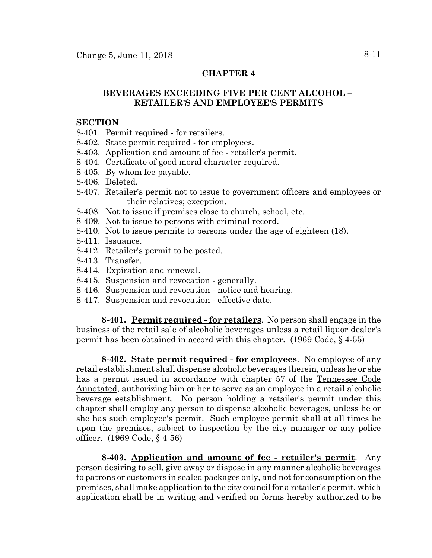# **BEVERAGES EXCEEDING FIVE PER CENT ALCOHOL – RETAILER'S AND EMPLOYEE'S PERMITS**

### **SECTION**

- 8-401. Permit required for retailers.
- 8-402. State permit required for employees.
- 8-403. Application and amount of fee retailer's permit.
- 8-404. Certificate of good moral character required.
- 8-405. By whom fee payable.
- 8-406. Deleted.
- 8-407. Retailer's permit not to issue to government officers and employees or their relatives; exception.
- 8-408. Not to issue if premises close to church, school, etc.
- 8-409. Not to issue to persons with criminal record.
- 8-410. Not to issue permits to persons under the age of eighteen (18).
- 8-411. Issuance.
- 8-412. Retailer's permit to be posted.
- 8-413. Transfer.
- 8-414. Expiration and renewal.
- 8-415. Suspension and revocation generally.
- 8-416. Suspension and revocation notice and hearing.
- 8-417. Suspension and revocation effective date.

**8-401. Permit required - for retailers**. No person shall engage in the business of the retail sale of alcoholic beverages unless a retail liquor dealer's permit has been obtained in accord with this chapter. (1969 Code, § 4-55)

**8-402. State permit required - for employees**. No employee of any retail establishment shall dispense alcoholic beverages therein, unless he or she has a permit issued in accordance with chapter 57 of the Tennessee Code Annotated, authorizing him or her to serve as an employee in a retail alcoholic beverage establishment. No person holding a retailer's permit under this chapter shall employ any person to dispense alcoholic beverages, unless he or she has such employee's permit. Such employee permit shall at all times be upon the premises, subject to inspection by the city manager or any police officer. (1969 Code, § 4-56)

**8-403. Application and amount of fee - retailer's permit**. Any person desiring to sell, give away or dispose in any manner alcoholic beverages to patrons or customers in sealed packages only, and not for consumption on the premises, shall make application to the city council for a retailer's permit, which application shall be in writing and verified on forms hereby authorized to be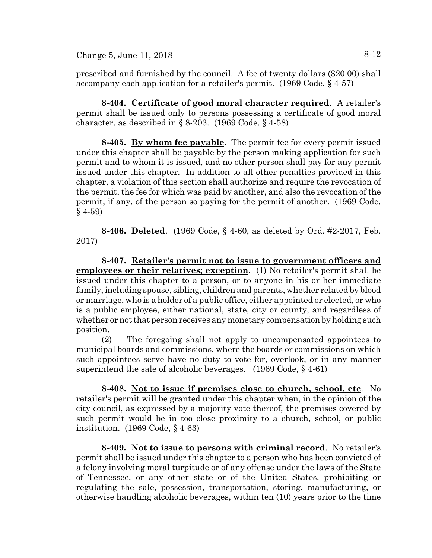Change 5, June 11, 2018  $8-12$ 

prescribed and furnished by the council. A fee of twenty dollars (\$20.00) shall accompany each application for a retailer's permit. (1969 Code, § 4-57)

**8-404. Certificate of good moral character required**. A retailer's permit shall be issued only to persons possessing a certificate of good moral character, as described in  $\S$  8-203. (1969 Code,  $\S$  4-58)

**8-405. By whom fee payable**. The permit fee for every permit issued under this chapter shall be payable by the person making application for such permit and to whom it is issued, and no other person shall pay for any permit issued under this chapter. In addition to all other penalties provided in this chapter, a violation of this section shall authorize and require the revocation of the permit, the fee for which was paid by another, and also the revocation of the permit, if any, of the person so paying for the permit of another. (1969 Code,  $§$  4-59)

**8-406. Deleted**. (1969 Code, § 4-60, as deleted by Ord. #2-2017, Feb. 2017)

**8-407. Retailer's permit not to issue to government officers and employees or their relatives; exception**. (1) No retailer's permit shall be issued under this chapter to a person, or to anyone in his or her immediate family, including spouse, sibling, children and parents, whether related by blood or marriage, who is a holder of a public office, either appointed or elected, or who is a public employee, either national, state, city or county, and regardless of whether or not that person receives any monetary compensation by holding such position.

(2) The foregoing shall not apply to uncompensated appointees to municipal boards and commissions, where the boards or commissions on which such appointees serve have no duty to vote for, overlook, or in any manner superintend the sale of alcoholic beverages. (1969 Code, § 4-61)

**8-408. Not to issue if premises close to church, school, etc**. No retailer's permit will be granted under this chapter when, in the opinion of the city council, as expressed by a majority vote thereof, the premises covered by such permit would be in too close proximity to a church, school, or public institution. (1969 Code, § 4-63)

**8-409. Not to issue to persons with criminal record**. No retailer's permit shall be issued under this chapter to a person who has been convicted of a felony involving moral turpitude or of any offense under the laws of the State of Tennessee, or any other state or of the United States, prohibiting or regulating the sale, possession, transportation, storing, manufacturing, or otherwise handling alcoholic beverages, within ten (10) years prior to the time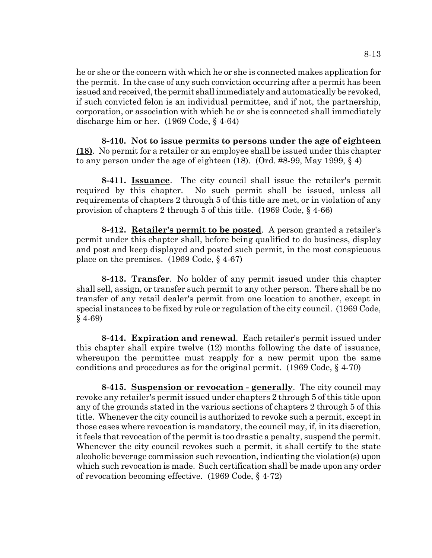he or she or the concern with which he or she is connected makes application for the permit. In the case of any such conviction occurring after a permit has been issued and received, the permit shall immediately and automatically be revoked, if such convicted felon is an individual permittee, and if not, the partnership, corporation, or association with which he or she is connected shall immediately discharge him or her. (1969 Code, § 4-64)

**8-410. Not to issue permits to persons under the age of eighteen (18)**. No permit for a retailer or an employee shall be issued under this chapter to any person under the age of eighteen  $(18)$ . (Ord. #8-99, May 1999, § 4)

**8-411. Issuance**. The city council shall issue the retailer's permit required by this chapter. No such permit shall be issued, unless all requirements of chapters 2 through 5 of this title are met, or in violation of any provision of chapters 2 through 5 of this title. (1969 Code, § 4-66)

**8-412. Retailer's permit to be posted**. A person granted a retailer's permit under this chapter shall, before being qualified to do business, display and post and keep displayed and posted such permit, in the most conspicuous place on the premises. (1969 Code, § 4-67)

**8-413. Transfer**. No holder of any permit issued under this chapter shall sell, assign, or transfer such permit to any other person. There shall be no transfer of any retail dealer's permit from one location to another, except in special instances to be fixed by rule or regulation of the city council. (1969 Code, § 4-69)

**8-414. Expiration and renewal**. Each retailer's permit issued under this chapter shall expire twelve (12) months following the date of issuance, whereupon the permittee must reapply for a new permit upon the same conditions and procedures as for the original permit. (1969 Code, § 4-70)

**8-415. Suspension or revocation - generally**. The city council may revoke any retailer's permit issued under chapters 2 through 5 of this title upon any of the grounds stated in the various sections of chapters 2 through 5 of this title. Whenever the city council is authorized to revoke such a permit, except in those cases where revocation is mandatory, the council may, if, in its discretion, it feels that revocation of the permit is too drastic a penalty, suspend the permit. Whenever the city council revokes such a permit, it shall certify to the state alcoholic beverage commission such revocation, indicating the violation(s) upon which such revocation is made. Such certification shall be made upon any order of revocation becoming effective. (1969 Code, § 4-72)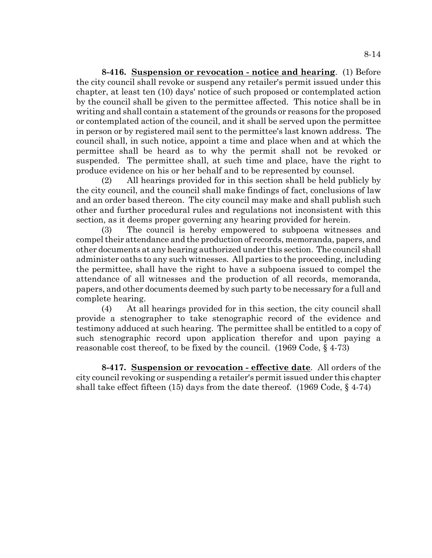**8-416. Suspension or revocation - notice and hearing**. (1) Before the city council shall revoke or suspend any retailer's permit issued under this chapter, at least ten (10) days' notice of such proposed or contemplated action by the council shall be given to the permittee affected. This notice shall be in writing and shall contain a statement of the grounds or reasons for the proposed or contemplated action of the council, and it shall be served upon the permittee in person or by registered mail sent to the permittee's last known address. The council shall, in such notice, appoint a time and place when and at which the permittee shall be heard as to why the permit shall not be revoked or suspended. The permittee shall, at such time and place, have the right to produce evidence on his or her behalf and to be represented by counsel.

(2) All hearings provided for in this section shall be held publicly by the city council, and the council shall make findings of fact, conclusions of law and an order based thereon. The city council may make and shall publish such other and further procedural rules and regulations not inconsistent with this section, as it deems proper governing any hearing provided for herein.

(3) The council is hereby empowered to subpoena witnesses and compel their attendance and the production of records, memoranda, papers, and other documents at any hearing authorized under this section. The council shall administer oaths to any such witnesses. All parties to the proceeding, including the permittee, shall have the right to have a subpoena issued to compel the attendance of all witnesses and the production of all records, memoranda, papers, and other documents deemed by such party to be necessary for a full and complete hearing.

(4) At all hearings provided for in this section, the city council shall provide a stenographer to take stenographic record of the evidence and testimony adduced at such hearing. The permittee shall be entitled to a copy of such stenographic record upon application therefor and upon paying a reasonable cost thereof, to be fixed by the council. (1969 Code, § 4-73)

**8-417. Suspension or revocation - effective date**. All orders of the city council revoking or suspending a retailer's permit issued under this chapter shall take effect fifteen (15) days from the date thereof. (1969 Code, § 4-74)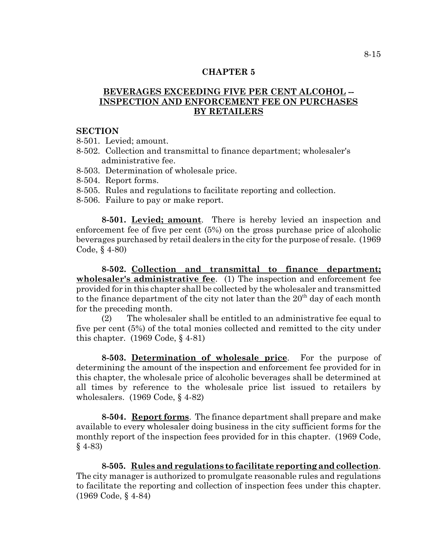# **BEVERAGES EXCEEDING FIVE PER CENT ALCOHOL -- INSPECTION AND ENFORCEMENT FEE ON PURCHASES BY RETAILERS**

#### **SECTION**

- 8-501. Levied; amount.
- 8-502. Collection and transmittal to finance department; wholesaler's administrative fee.
- 8-503. Determination of wholesale price.
- 8-504. Report forms.
- 8-505. Rules and regulations to facilitate reporting and collection.
- 8-506. Failure to pay or make report.

**8-501. Levied; amount**. There is hereby levied an inspection and enforcement fee of five per cent (5%) on the gross purchase price of alcoholic beverages purchased by retail dealers in the city for the purpose of resale. (1969 Code, § 4-80)

**8-502. Collection and transmittal to finance department; wholesaler's administrative fee**. (1) The inspection and enforcement fee provided for in this chapter shall be collected by the wholesaler and transmitted to the finance department of the city not later than the  $20<sup>th</sup>$  day of each month for the preceding month.

(2) The wholesaler shall be entitled to an administrative fee equal to five per cent (5%) of the total monies collected and remitted to the city under this chapter. (1969 Code, § 4-81)

**8-503. Determination of wholesale price**. For the purpose of determining the amount of the inspection and enforcement fee provided for in this chapter, the wholesale price of alcoholic beverages shall be determined at all times by reference to the wholesale price list issued to retailers by wholesalers. (1969 Code, § 4-82)

**8-504. Report forms**. The finance department shall prepare and make available to every wholesaler doing business in the city sufficient forms for the monthly report of the inspection fees provided for in this chapter. (1969 Code, § 4-83)

**8-505. Rules and regulations to facilitate reporting and collection**. The city manager is authorized to promulgate reasonable rules and regulations to facilitate the reporting and collection of inspection fees under this chapter. (1969 Code, § 4-84)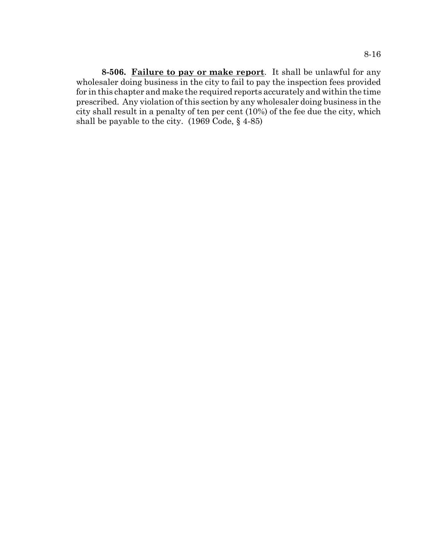**8-506. Failure to pay or make report**. It shall be unlawful for any wholesaler doing business in the city to fail to pay the inspection fees provided for in this chapter and make the required reports accurately and within the time prescribed. Any violation of this section by any wholesaler doing business in the city shall result in a penalty of ten per cent (10%) of the fee due the city, which shall be payable to the city. (1969 Code, § 4-85)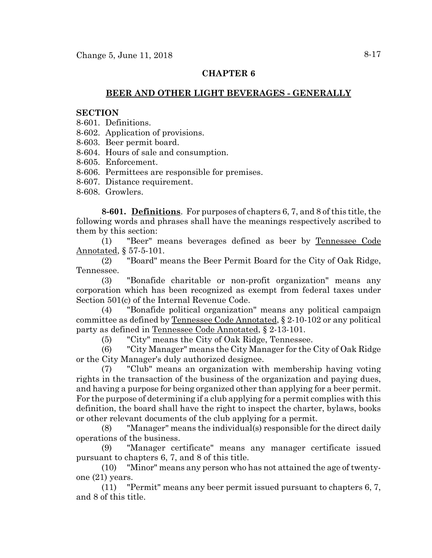### **BEER AND OTHER LIGHT BEVERAGES - GENERALLY**

### **SECTION**

- 8-601. Definitions.
- 8-602. Application of provisions.
- 8-603. Beer permit board.
- 8-604. Hours of sale and consumption.
- 8-605. Enforcement.
- 8-606. Permittees are responsible for premises.
- 8-607. Distance requirement.
- 8-608. Growlers.

**8-601. Definitions**. For purposes of chapters 6, 7, and 8 of this title, the following words and phrases shall have the meanings respectively ascribed to them by this section:

(1) "Beer" means beverages defined as beer by Tennessee Code Annotated, § 57-5-101.

(2) "Board" means the Beer Permit Board for the City of Oak Ridge, Tennessee.

(3) "Bonafide charitable or non-profit organization" means any corporation which has been recognized as exempt from federal taxes under Section 501(c) of the Internal Revenue Code.

(4) "Bonafide political organization" means any political campaign committee as defined by Tennessee Code Annotated, § 2-10-102 or any political party as defined in Tennessee Code Annotated, § 2-13-101.

(5) "City" means the City of Oak Ridge, Tennessee.

(6) "City Manager" means the City Manager for the City of Oak Ridge or the City Manager's duly authorized designee.

(7) "Club" means an organization with membership having voting rights in the transaction of the business of the organization and paying dues, and having a purpose for being organized other than applying for a beer permit. For the purpose of determining if a club applying for a permit complies with this definition, the board shall have the right to inspect the charter, bylaws, books or other relevant documents of the club applying for a permit.

(8) "Manager" means the individual(s) responsible for the direct daily operations of the business.

(9) "Manager certificate" means any manager certificate issued pursuant to chapters 6, 7, and 8 of this title.

(10) "Minor" means any person who has not attained the age of twentyone (21) years.

(11) "Permit" means any beer permit issued pursuant to chapters 6, 7, and 8 of this title.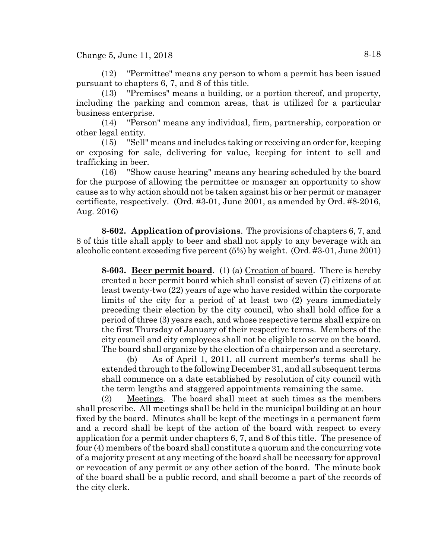Change 5, June 11, 2018  $8-18$ 

(12) "Permittee" means any person to whom a permit has been issued pursuant to chapters 6, 7, and 8 of this title.

(13) "Premises" means a building, or a portion thereof, and property, including the parking and common areas, that is utilized for a particular business enterprise.

(14) "Person" means any individual, firm, partnership, corporation or other legal entity.

(15) "Sell" means and includes taking or receiving an order for, keeping or exposing for sale, delivering for value, keeping for intent to sell and trafficking in beer.

(16) "Show cause hearing" means any hearing scheduled by the board for the purpose of allowing the permittee or manager an opportunity to show cause as to why action should not be taken against his or her permit or manager certificate, respectively. (Ord. #3-01, June 2001, as amended by Ord. #8-2016, Aug. 2016)

**8-602. Application of provisions**. The provisions of chapters 6, 7, and 8 of this title shall apply to beer and shall not apply to any beverage with an alcoholic content exceeding five percent (5%) by weight. (Ord. #3-01, June 2001)

**8-603. Beer permit board**. (1) (a) Creation of board. There is hereby created a beer permit board which shall consist of seven (7) citizens of at least twenty-two (22) years of age who have resided within the corporate limits of the city for a period of at least two (2) years immediately preceding their election by the city council, who shall hold office for a period of three (3) years each, and whose respective terms shall expire on the first Thursday of January of their respective terms. Members of the city council and city employees shall not be eligible to serve on the board. The board shall organize by the election of a chairperson and a secretary.

(b) As of April 1, 2011, all current member's terms shall be extended through to the following December 31, and all subsequent terms shall commence on a date established by resolution of city council with the term lengths and staggered appointments remaining the same.

(2) Meetings. The board shall meet at such times as the members shall prescribe. All meetings shall be held in the municipal building at an hour fixed by the board. Minutes shall be kept of the meetings in a permanent form and a record shall be kept of the action of the board with respect to every application for a permit under chapters 6, 7, and 8 of this title. The presence of four (4) members of the board shall constitute a quorum and the concurring vote of a majority present at any meeting of the board shall be necessary for approval or revocation of any permit or any other action of the board. The minute book of the board shall be a public record, and shall become a part of the records of the city clerk.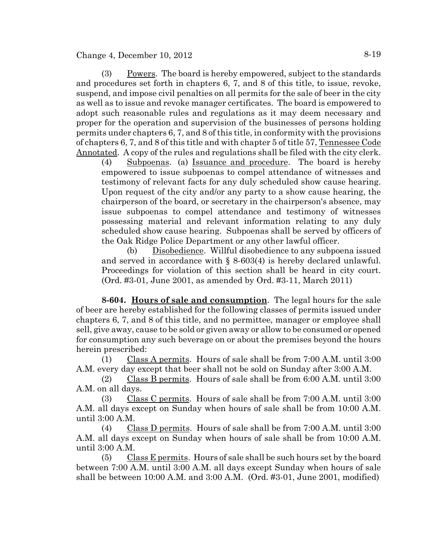Change 4, December 10,  $2012$  8-19

(3) Powers. The board is hereby empowered, subject to the standards and procedures set forth in chapters 6, 7, and 8 of this title, to issue, revoke, suspend, and impose civil penalties on all permits for the sale of beer in the city as well as to issue and revoke manager certificates. The board is empowered to adopt such reasonable rules and regulations as it may deem necessary and proper for the operation and supervision of the businesses of persons holding permits under chapters 6, 7, and 8 of this title, in conformity with the provisions of chapters 6, 7, and 8 of this title and with chapter 5 of title 57, Tennessee Code Annotated. A copy of the rules and regulations shall be filed with the city clerk.

(4) Subpoenas. (a) Issuance and procedure. The board is hereby empowered to issue subpoenas to compel attendance of witnesses and testimony of relevant facts for any duly scheduled show cause hearing. Upon request of the city and/or any party to a show cause hearing, the chairperson of the board, or secretary in the chairperson's absence, may issue subpoenas to compel attendance and testimony of witnesses possessing material and relevant information relating to any duly scheduled show cause hearing. Subpoenas shall be served by officers of the Oak Ridge Police Department or any other lawful officer.

(b) Disobedience. Willful disobedience to any subpoena issued and served in accordance with  $\S$  8-603(4) is hereby declared unlawful. Proceedings for violation of this section shall be heard in city court. (Ord. #3-01, June 2001, as amended by Ord. #3-11, March 2011)

**8-604. Hours of sale and consumption**. The legal hours for the sale of beer are hereby established for the following classes of permits issued under chapters 6, 7, and 8 of this title, and no permittee, manager or employee shall sell, give away, cause to be sold or given away or allow to be consumed or opened for consumption any such beverage on or about the premises beyond the hours herein prescribed:

(1) Class A permits. Hours of sale shall be from 7:00 A.M. until 3:00 A.M. every day except that beer shall not be sold on Sunday after 3:00 A.M.

(2) Class B permits. Hours of sale shall be from 6:00 A.M. until 3:00 A.M. on all days.

(3) Class C permits. Hours of sale shall be from  $7:00$  A.M. until  $3:00$ A.M. all days except on Sunday when hours of sale shall be from 10:00 A.M. until 3:00 A.M.

(4) Class D permits. Hours of sale shall be from 7:00 A.M. until 3:00 A.M. all days except on Sunday when hours of sale shall be from 10:00 A.M. until 3:00 A.M.

(5) Class E permits. Hours of sale shall be such hours set by the board between 7:00 A.M. until 3:00 A.M. all days except Sunday when hours of sale shall be between 10:00 A.M. and 3:00 A.M. (Ord. #3-01, June 2001, modified)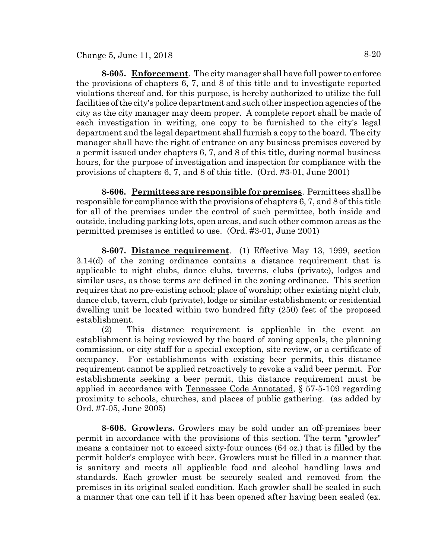# Change 5, June 11, 2018  $8-20$

**8-605. Enforcement**. The city manager shall have full power to enforce the provisions of chapters 6, 7, and 8 of this title and to investigate reported violations thereof and, for this purpose, is hereby authorized to utilize the full facilities of the city's police department and such other inspection agencies of the city as the city manager may deem proper. A complete report shall be made of each investigation in writing, one copy to be furnished to the city's legal department and the legal department shall furnish a copy to the board. The city manager shall have the right of entrance on any business premises covered by a permit issued under chapters 6, 7, and 8 of this title, during normal business hours, for the purpose of investigation and inspection for compliance with the provisions of chapters 6, 7, and 8 of this title. (Ord. #3-01, June 2001)

**8-606. Permittees are responsible for premises**. Permittees shall be responsible for compliance with the provisions of chapters 6, 7, and 8 of this title for all of the premises under the control of such permittee, both inside and outside, including parking lots, open areas, and such other common areas as the permitted premises is entitled to use. (Ord. #3-01, June 2001)

**8-607. Distance requirement**. (1) Effective May 13, 1999, section 3.14(d) of the zoning ordinance contains a distance requirement that is applicable to night clubs, dance clubs, taverns, clubs (private), lodges and similar uses, as those terms are defined in the zoning ordinance. This section requires that no pre-existing school; place of worship; other existing night club, dance club, tavern, club (private), lodge or similar establishment; or residential dwelling unit be located within two hundred fifty (250) feet of the proposed establishment.

(2) This distance requirement is applicable in the event an establishment is being reviewed by the board of zoning appeals, the planning commission, or city staff for a special exception, site review, or a certificate of occupancy. For establishments with existing beer permits, this distance requirement cannot be applied retroactively to revoke a valid beer permit. For establishments seeking a beer permit, this distance requirement must be applied in accordance with Tennessee Code Annotated, § 57-5-109 regarding proximity to schools, churches, and places of public gathering. (as added by Ord. #7-05, June 2005)

**8-608. Growlers.** Growlers may be sold under an off-premises beer permit in accordance with the provisions of this section. The term "growler" means a container not to exceed sixty-four ounces (64 oz.) that is filled by the permit holder's employee with beer. Growlers must be filled in a manner that is sanitary and meets all applicable food and alcohol handling laws and standards. Each growler must be securely sealed and removed from the premises in its original sealed condition. Each growler shall be sealed in such a manner that one can tell if it has been opened after having been sealed (ex.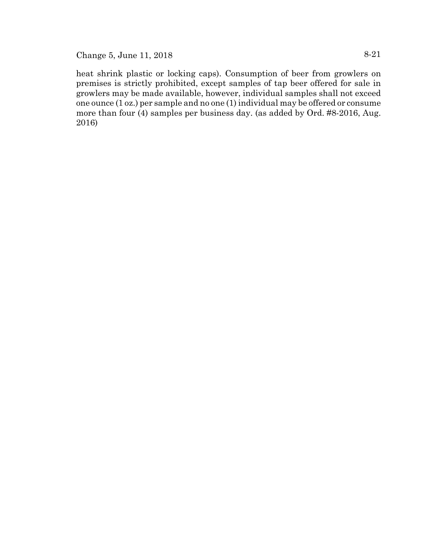Change 5, June 11, 2018  $8-21$ 

heat shrink plastic or locking caps). Consumption of beer from growlers on premises is strictly prohibited, except samples of tap beer offered for sale in growlers may be made available, however, individual samples shall not exceed one ounce (1 oz.) per sample and no one (1) individual may be offered or consume more than four (4) samples per business day. (as added by Ord. #8-2016, Aug. 2016)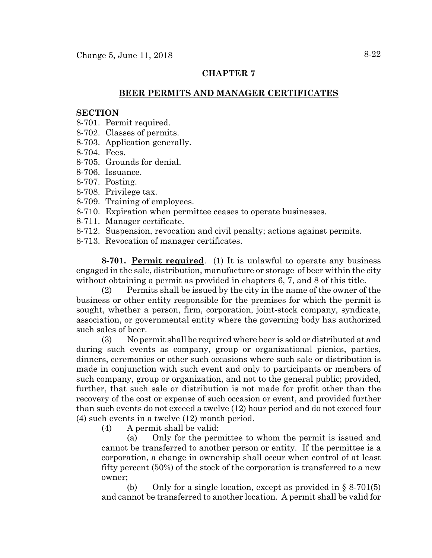### **BEER PERMITS AND MANAGER CERTIFICATES**

### **SECTION**

- 8-701. Permit required.
- 8-702. Classes of permits.
- 8-703. Application generally.
- 8-704. Fees.
- 8-705. Grounds for denial.
- 8-706. Issuance.
- 8-707. Posting.
- 8-708. Privilege tax.
- 8-709. Training of employees.
- 8-710. Expiration when permittee ceases to operate businesses.
- 8-711. Manager certificate.
- 8-712. Suspension, revocation and civil penalty; actions against permits.
- 8-713. Revocation of manager certificates.

**8-701. Permit required**. (1) It is unlawful to operate any business engaged in the sale, distribution, manufacture or storage of beer within the city without obtaining a permit as provided in chapters 6, 7, and 8 of this title.

(2) Permits shall be issued by the city in the name of the owner of the business or other entity responsible for the premises for which the permit is sought, whether a person, firm, corporation, joint-stock company, syndicate, association, or governmental entity where the governing body has authorized such sales of beer.

(3) No permit shall be required where beer is sold or distributed at and during such events as company, group or organizational picnics, parties, dinners, ceremonies or other such occasions where such sale or distribution is made in conjunction with such event and only to participants or members of such company, group or organization, and not to the general public; provided, further, that such sale or distribution is not made for profit other than the recovery of the cost or expense of such occasion or event, and provided further than such events do not exceed a twelve (12) hour period and do not exceed four (4) such events in a twelve (12) month period.

(4) A permit shall be valid:

(a) Only for the permittee to whom the permit is issued and cannot be transferred to another person or entity. If the permittee is a corporation, a change in ownership shall occur when control of at least fifty percent (50%) of the stock of the corporation is transferred to a new owner;

(b) Only for a single location, except as provided in  $\S 8-701(5)$ and cannot be transferred to another location. A permit shall be valid for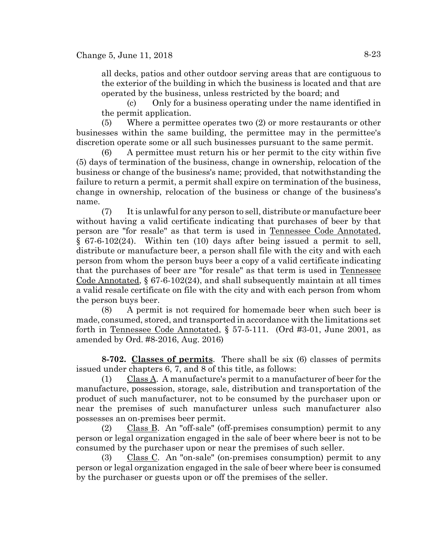all decks, patios and other outdoor serving areas that are contiguous to the exterior of the building in which the business is located and that are operated by the business, unless restricted by the board; and

(c) Only for a business operating under the name identified in the permit application.

(5) Where a permittee operates two (2) or more restaurants or other businesses within the same building, the permittee may in the permittee's discretion operate some or all such businesses pursuant to the same permit.

(6) A permittee must return his or her permit to the city within five (5) days of termination of the business, change in ownership, relocation of the business or change of the business's name; provided, that notwithstanding the failure to return a permit, a permit shall expire on termination of the business, change in ownership, relocation of the business or change of the business's name.

(7) It is unlawful for any person to sell, distribute or manufacture beer without having a valid certificate indicating that purchases of beer by that person are "for resale" as that term is used in Tennessee Code Annotated, § 67-6-102(24). Within ten (10) days after being issued a permit to sell, distribute or manufacture beer, a person shall file with the city and with each person from whom the person buys beer a copy of a valid certificate indicating that the purchases of beer are "for resale" as that term is used in Tennessee Code Annotated,  $\S 67-6-102(24)$ , and shall subsequently maintain at all times a valid resale certificate on file with the city and with each person from whom the person buys beer.

(8) A permit is not required for homemade beer when such beer is made, consumed, stored, and transported in accordance with the limitations set forth in Tennessee Code Annotated, § 57-5-111. (Ord #3-01, June 2001, as amended by Ord. #8-2016, Aug. 2016)

**8-702. Classes of permits**. There shall be six (6) classes of permits issued under chapters 6, 7, and 8 of this title, as follows:

(1) Class A. A manufacture's permit to a manufacturer of beer for the manufacture, possession, storage, sale, distribution and transportation of the product of such manufacturer, not to be consumed by the purchaser upon or near the premises of such manufacturer unless such manufacturer also possesses an on-premises beer permit.

(2) Class B. An "off-sale" (off-premises consumption) permit to any person or legal organization engaged in the sale of beer where beer is not to be consumed by the purchaser upon or near the premises of such seller.

(3) Class C. An "on-sale" (on-premises consumption) permit to any person or legal organization engaged in the sale of beer where beer is consumed by the purchaser or guests upon or off the premises of the seller.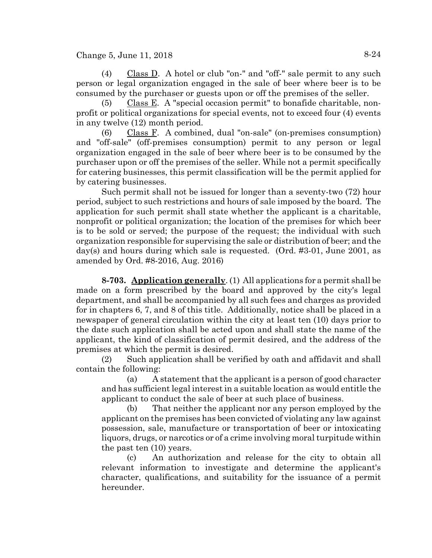Change 5, June 11, 2018  $8-24$ 

(4) Class D. A hotel or club "on-" and "off-" sale permit to any such person or legal organization engaged in the sale of beer where beer is to be consumed by the purchaser or guests upon or off the premises of the seller.

(5) Class E. A "special occasion permit" to bonafide charitable, nonprofit or political organizations for special events, not to exceed four (4) events in any twelve (12) month period.

(6) Class F. A combined, dual "on-sale" (on-premises consumption) and "off-sale" (off-premises consumption) permit to any person or legal organization engaged in the sale of beer where beer is to be consumed by the purchaser upon or off the premises of the seller. While not a permit specifically for catering businesses, this permit classification will be the permit applied for by catering businesses.

Such permit shall not be issued for longer than a seventy-two (72) hour period, subject to such restrictions and hours of sale imposed by the board. The application for such permit shall state whether the applicant is a charitable, nonprofit or political organization; the location of the premises for which beer is to be sold or served; the purpose of the request; the individual with such organization responsible for supervising the sale or distribution of beer; and the day(s) and hours during which sale is requested. (Ord. #3-01, June 2001, as amended by Ord. #8-2016, Aug. 2016)

**8-703. Application generally**. (1) All applications for a permit shall be made on a form prescribed by the board and approved by the city's legal department, and shall be accompanied by all such fees and charges as provided for in chapters 6, 7, and 8 of this title. Additionally, notice shall be placed in a newspaper of general circulation within the city at least ten (10) days prior to the date such application shall be acted upon and shall state the name of the applicant, the kind of classification of permit desired, and the address of the premises at which the permit is desired.

(2) Such application shall be verified by oath and affidavit and shall contain the following:

(a) A statement that the applicant is a person of good character and has sufficient legal interest in a suitable location as would entitle the applicant to conduct the sale of beer at such place of business.

(b) That neither the applicant nor any person employed by the applicant on the premises has been convicted of violating any law against possession, sale, manufacture or transportation of beer or intoxicating liquors, drugs, or narcotics or of a crime involving moral turpitude within the past ten (10) years.

(c) An authorization and release for the city to obtain all relevant information to investigate and determine the applicant's character, qualifications, and suitability for the issuance of a permit hereunder.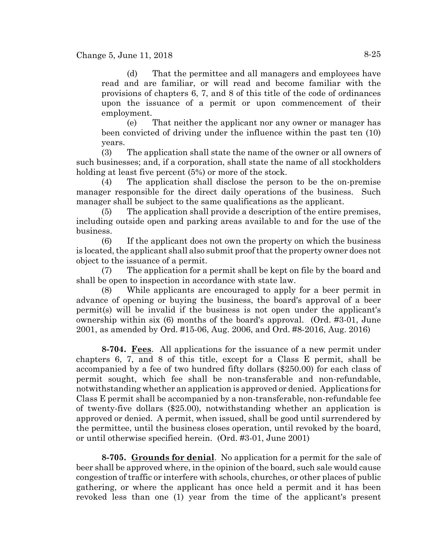(d) That the permittee and all managers and employees have read and are familiar, or will read and become familiar with the provisions of chapters 6, 7, and 8 of this title of the code of ordinances upon the issuance of a permit or upon commencement of their employment.

(e) That neither the applicant nor any owner or manager has been convicted of driving under the influence within the past ten (10) years.

(3) The application shall state the name of the owner or all owners of such businesses; and, if a corporation, shall state the name of all stockholders holding at least five percent  $(5%)$  or more of the stock.

(4) The application shall disclose the person to be the on-premise manager responsible for the direct daily operations of the business. Such manager shall be subject to the same qualifications as the applicant.

(5) The application shall provide a description of the entire premises, including outside open and parking areas available to and for the use of the business.

(6) If the applicant does not own the property on which the business is located, the applicant shall also submit proof that the property owner does not object to the issuance of a permit.

(7) The application for a permit shall be kept on file by the board and shall be open to inspection in accordance with state law.

(8) While applicants are encouraged to apply for a beer permit in advance of opening or buying the business, the board's approval of a beer permit(s) will be invalid if the business is not open under the applicant's ownership within six (6) months of the board's approval. (Ord. #3-01, June 2001, as amended by Ord. #15-06, Aug. 2006, and Ord. #8-2016, Aug. 2016)

**8-704. Fees**. All applications for the issuance of a new permit under chapters 6, 7, and 8 of this title, except for a Class E permit, shall be accompanied by a fee of two hundred fifty dollars (\$250.00) for each class of permit sought, which fee shall be non-transferable and non-refundable, notwithstanding whether an application is approved or denied. Applications for Class E permit shall be accompanied by a non-transferable, non-refundable fee of twenty-five dollars (\$25.00), notwithstanding whether an application is approved or denied. A permit, when issued, shall be good until surrendered by the permittee, until the business closes operation, until revoked by the board, or until otherwise specified herein. (Ord. #3-01, June 2001)

**8-705. Grounds for denial**. No application for a permit for the sale of beer shall be approved where, in the opinion of the board, such sale would cause congestion of traffic or interfere with schools, churches, or other places of public gathering, or where the applicant has once held a permit and it has been revoked less than one (1) year from the time of the applicant's present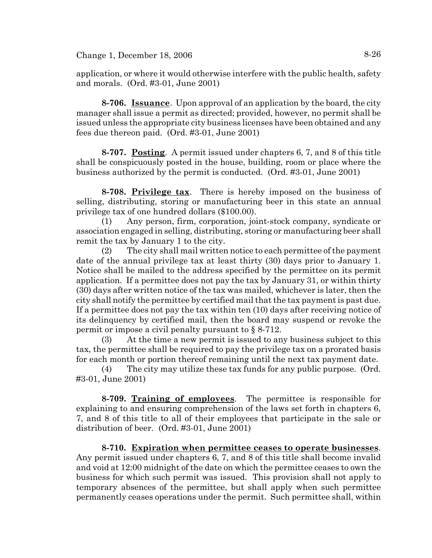application, or where it would otherwise interfere with the public health, safety and morals. (Ord. #3-01, June 2001)

**8-706. Issuance**. Upon approval of an application by the board, the city manager shall issue a permit as directed; provided, however, no permit shall be issued unless the appropriate city business licenses have been obtained and any fees due thereon paid. (Ord. #3-01, June 2001)

**8-707. Posting**. A permit issued under chapters 6, 7, and 8 of this title shall be conspicuously posted in the house, building, room or place where the business authorized by the permit is conducted. (Ord. #3-01, June 2001)

**8-708. Privilege tax**. There is hereby imposed on the business of selling, distributing, storing or manufacturing beer in this state an annual privilege tax of one hundred dollars (\$100.00).

(1) Any person, firm, corporation, joint-stock company, syndicate or association engaged in selling, distributing, storing or manufacturing beer shall remit the tax by January 1 to the city.

(2) The city shall mail written notice to each permittee of the payment date of the annual privilege tax at least thirty (30) days prior to January 1. Notice shall be mailed to the address specified by the permittee on its permit application. If a permittee does not pay the tax by January 31, or within thirty (30) days after written notice of the tax was mailed, whichever is later, then the city shall notify the permittee by certified mail that the tax payment is past due. If a permittee does not pay the tax within ten (10) days after receiving notice of its delinquency by certified mail, then the board may suspend or revoke the permit or impose a civil penalty pursuant to § 8-712.

(3) At the time a new permit is issued to any business subject to this tax, the permittee shall be required to pay the privilege tax on a prorated basis for each month or portion thereof remaining until the next tax payment date.

(4) The city may utilize these tax funds for any public purpose. (Ord. #3-01, June 2001)

**8-709. Training of employees**. The permittee is responsible for explaining to and ensuring comprehension of the laws set forth in chapters 6, 7, and 8 of this title to all of their employees that participate in the sale or distribution of beer. (Ord. #3-01, June 2001)

**8-710. Expiration when permittee ceases to operate businesses**. Any permit issued under chapters 6, 7, and 8 of this title shall become invalid and void at 12:00 midnight of the date on which the permittee ceases to own the business for which such permit was issued. This provision shall not apply to temporary absences of the permittee, but shall apply when such permittee permanently ceases operations under the permit. Such permittee shall, within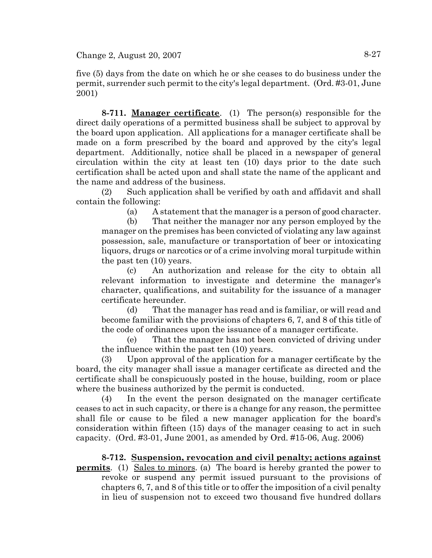five (5) days from the date on which he or she ceases to do business under the permit, surrender such permit to the city's legal department. (Ord. #3-01, June 2001)

**8-711. Manager certificate**. (1) The person(s) responsible for the direct daily operations of a permitted business shall be subject to approval by the board upon application. All applications for a manager certificate shall be made on a form prescribed by the board and approved by the city's legal department. Additionally, notice shall be placed in a newspaper of general circulation within the city at least ten (10) days prior to the date such certification shall be acted upon and shall state the name of the applicant and the name and address of the business.

(2) Such application shall be verified by oath and affidavit and shall contain the following:

(a) A statement that the manager is a person of good character.

(b) That neither the manager nor any person employed by the manager on the premises has been convicted of violating any law against possession, sale, manufacture or transportation of beer or intoxicating liquors, drugs or narcotics or of a crime involving moral turpitude within the past ten (10) years.

(c) An authorization and release for the city to obtain all relevant information to investigate and determine the manager's character, qualifications, and suitability for the issuance of a manager certificate hereunder.

(d) That the manager has read and is familiar, or will read and become familiar with the provisions of chapters 6, 7, and 8 of this title of the code of ordinances upon the issuance of a manager certificate.

(e) That the manager has not been convicted of driving under the influence within the past ten (10) years.

(3) Upon approval of the application for a manager certificate by the board, the city manager shall issue a manager certificate as directed and the certificate shall be conspicuously posted in the house, building, room or place where the business authorized by the permit is conducted.

(4) In the event the person designated on the manager certificate ceases to act in such capacity, or there is a change for any reason, the permittee shall file or cause to be filed a new manager application for the board's consideration within fifteen (15) days of the manager ceasing to act in such capacity. (Ord. #3-01, June 2001, as amended by Ord. #15-06, Aug. 2006)

**8-712. Suspension, revocation and civil penalty; actions against permits**. (1) Sales to minors. (a) The board is hereby granted the power to revoke or suspend any permit issued pursuant to the provisions of chapters 6, 7, and 8 of this title or to offer the imposition of a civil penalty in lieu of suspension not to exceed two thousand five hundred dollars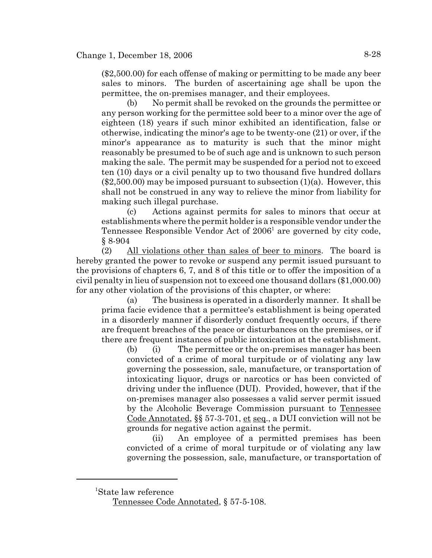(\$2,500.00) for each offense of making or permitting to be made any beer sales to minors. The burden of ascertaining age shall be upon the permittee, the on-premises manager, and their employees.

(b) No permit shall be revoked on the grounds the permittee or any person working for the permittee sold beer to a minor over the age of eighteen (18) years if such minor exhibited an identification, false or otherwise, indicating the minor's age to be twenty-one (21) or over, if the minor's appearance as to maturity is such that the minor might reasonably be presumed to be of such age and is unknown to such person making the sale. The permit may be suspended for a period not to exceed ten (10) days or a civil penalty up to two thousand five hundred dollars  $(\$2,500.00)$  may be imposed pursuant to subsection  $(1)(a)$ . However, this shall not be construed in any way to relieve the minor from liability for making such illegal purchase.

(c) Actions against permits for sales to minors that occur at establishments where the permit holder is a responsible vendor under the Tennessee Responsible Vendor Act of 2006<sup>1</sup> are governed by city code, § 8-904

(2) All violations other than sales of beer to minors. The board is hereby granted the power to revoke or suspend any permit issued pursuant to the provisions of chapters 6, 7, and 8 of this title or to offer the imposition of a civil penalty in lieu of suspension not to exceed one thousand dollars (\$1,000.00) for any other violation of the provisions of this chapter, or where:

(a) The business is operated in a disorderly manner. It shall be prima facie evidence that a permittee's establishment is being operated in a disorderly manner if disorderly conduct frequently occurs, if there are frequent breaches of the peace or disturbances on the premises, or if there are frequent instances of public intoxication at the establishment.

(b) (i) The permittee or the on-premises manager has been convicted of a crime of moral turpitude or of violating any law governing the possession, sale, manufacture, or transportation of intoxicating liquor, drugs or narcotics or has been convicted of driving under the influence (DUI). Provided, however, that if the on-premises manager also possesses a valid server permit issued by the Alcoholic Beverage Commission pursuant to Tennessee Code Annotated, §§ 57-3-701, et seq., a DUI conviction will not be grounds for negative action against the permit.

(ii) An employee of a permitted premises has been convicted of a crime of moral turpitude or of violating any law governing the possession, sale, manufacture, or transportation of

<sup>1</sup> State law reference

Tennessee Code Annotated, § 57-5-108.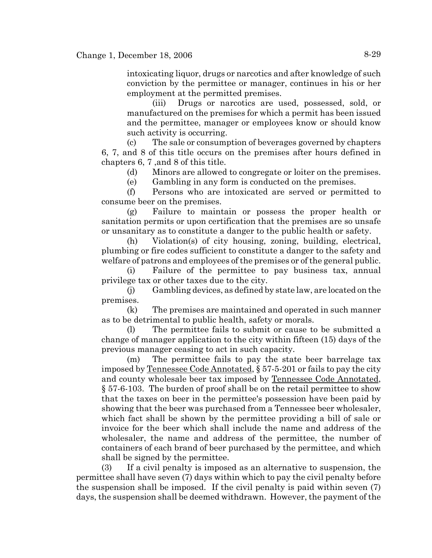intoxicating liquor, drugs or narcotics and after knowledge of such conviction by the permittee or manager, continues in his or her employment at the permitted premises.

(iii) Drugs or narcotics are used, possessed, sold, or manufactured on the premises for which a permit has been issued and the permittee, manager or employees know or should know such activity is occurring.

(c) The sale or consumption of beverages governed by chapters 6, 7, and 8 of this title occurs on the premises after hours defined in chapters 6, 7 ,and 8 of this title.

(d) Minors are allowed to congregate or loiter on the premises.

(e) Gambling in any form is conducted on the premises.

(f) Persons who are intoxicated are served or permitted to consume beer on the premises.

(g) Failure to maintain or possess the proper health or sanitation permits or upon certification that the premises are so unsafe or unsanitary as to constitute a danger to the public health or safety.

(h) Violation(s) of city housing, zoning, building, electrical, plumbing or fire codes sufficient to constitute a danger to the safety and welfare of patrons and employees of the premises or of the general public.

(i) Failure of the permittee to pay business tax, annual privilege tax or other taxes due to the city.

(j) Gambling devices, as defined by state law, are located on the premises.

(k) The premises are maintained and operated in such manner as to be detrimental to public health, safety or morals.

(l) The permittee fails to submit or cause to be submitted a change of manager application to the city within fifteen (15) days of the previous manager ceasing to act in such capacity.

(m) The permittee fails to pay the state beer barrelage tax imposed by Tennessee Code Annotated, § 57-5-201 or fails to pay the city and county wholesale beer tax imposed by Tennessee Code Annotated, § 57-6-103. The burden of proof shall be on the retail permittee to show that the taxes on beer in the permittee's possession have been paid by showing that the beer was purchased from a Tennessee beer wholesaler, which fact shall be shown by the permittee providing a bill of sale or invoice for the beer which shall include the name and address of the wholesaler, the name and address of the permittee, the number of containers of each brand of beer purchased by the permittee, and which shall be signed by the permittee.

(3) If a civil penalty is imposed as an alternative to suspension, the permittee shall have seven (7) days within which to pay the civil penalty before the suspension shall be imposed. If the civil penalty is paid within seven (7) days, the suspension shall be deemed withdrawn. However, the payment of the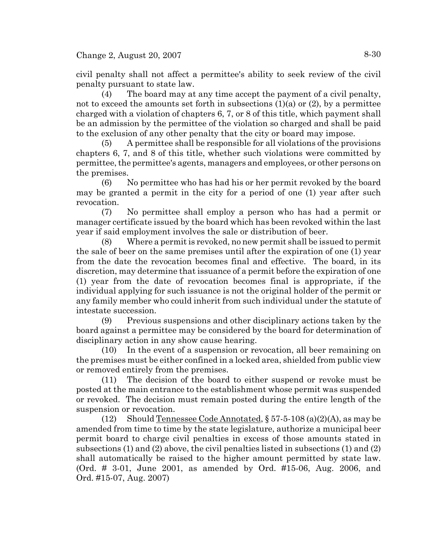civil penalty shall not affect a permittee's ability to seek review of the civil penalty pursuant to state law.

(4) The board may at any time accept the payment of a civil penalty, not to exceed the amounts set forth in subsections  $(1)(a)$  or  $(2)$ , by a permittee charged with a violation of chapters 6, 7, or 8 of this title, which payment shall be an admission by the permittee of the violation so charged and shall be paid to the exclusion of any other penalty that the city or board may impose.

(5) A permittee shall be responsible for all violations of the provisions chapters 6, 7, and 8 of this title, whether such violations were committed by permittee, the permittee's agents, managers and employees, or other persons on the premises.

(6) No permittee who has had his or her permit revoked by the board may be granted a permit in the city for a period of one (1) year after such revocation.

(7) No permittee shall employ a person who has had a permit or manager certificate issued by the board which has been revoked within the last year if said employment involves the sale or distribution of beer.

(8) Where a permit is revoked, no new permit shall be issued to permit the sale of beer on the same premises until after the expiration of one (1) year from the date the revocation becomes final and effective. The board, in its discretion, may determine that issuance of a permit before the expiration of one (1) year from the date of revocation becomes final is appropriate, if the individual applying for such issuance is not the original holder of the permit or any family member who could inherit from such individual under the statute of intestate succession.

(9) Previous suspensions and other disciplinary actions taken by the board against a permittee may be considered by the board for determination of disciplinary action in any show cause hearing.

(10) In the event of a suspension or revocation, all beer remaining on the premises must be either confined in a locked area, shielded from public view or removed entirely from the premises.

(11) The decision of the board to either suspend or revoke must be posted at the main entrance to the establishment whose permit was suspended or revoked. The decision must remain posted during the entire length of the suspension or revocation.

(12) Should Tennessee Code Annotated,  $\S 57-5-108$  (a)(2)(A), as may be amended from time to time by the state legislature, authorize a municipal beer permit board to charge civil penalties in excess of those amounts stated in subsections (1) and (2) above, the civil penalties listed in subsections (1) and (2) shall automatically be raised to the higher amount permitted by state law. (Ord. # 3-01, June 2001, as amended by Ord. #15-06, Aug. 2006, and Ord. #15-07, Aug. 2007)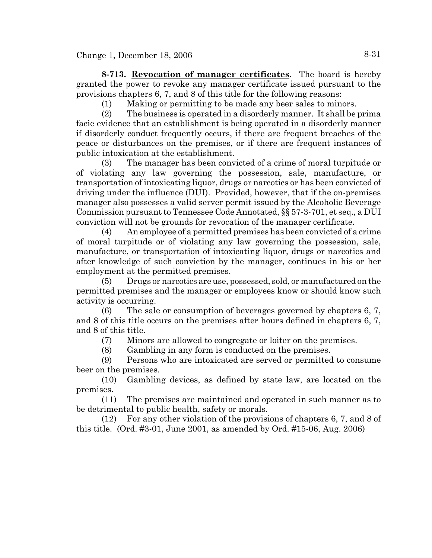**8-713. Revocation of manager certificates**. The board is hereby granted the power to revoke any manager certificate issued pursuant to the provisions chapters 6, 7, and 8 of this title for the following reasons:

(1) Making or permitting to be made any beer sales to minors.

(2) The business is operated in a disorderly manner. It shall be prima facie evidence that an establishment is being operated in a disorderly manner if disorderly conduct frequently occurs, if there are frequent breaches of the peace or disturbances on the premises, or if there are frequent instances of public intoxication at the establishment.

(3) The manager has been convicted of a crime of moral turpitude or of violating any law governing the possession, sale, manufacture, or transportation of intoxicating liquor, drugs or narcotics or has been convicted of driving under the influence (DUI). Provided, however, that if the on-premises manager also possesses a valid server permit issued by the Alcoholic Beverage Commission pursuant to Tennessee Code Annotated, §§ 57-3-701, et seq., a DUI conviction will not be grounds for revocation of the manager certificate.

(4) An employee of a permitted premises has been convicted of a crime of moral turpitude or of violating any law governing the possession, sale, manufacture, or transportation of intoxicating liquor, drugs or narcotics and after knowledge of such conviction by the manager, continues in his or her employment at the permitted premises.

(5) Drugs or narcotics are use, possessed, sold, or manufactured on the permitted premises and the manager or employees know or should know such activity is occurring.

(6) The sale or consumption of beverages governed by chapters 6, 7, and 8 of this title occurs on the premises after hours defined in chapters 6, 7, and 8 of this title.

(7) Minors are allowed to congregate or loiter on the premises.

(8) Gambling in any form is conducted on the premises.

(9) Persons who are intoxicated are served or permitted to consume beer on the premises.

(10) Gambling devices, as defined by state law, are located on the premises.

(11) The premises are maintained and operated in such manner as to be detrimental to public health, safety or morals.

(12) For any other violation of the provisions of chapters 6, 7, and 8 of this title. (Ord. #3-01, June 2001, as amended by Ord. #15-06, Aug. 2006)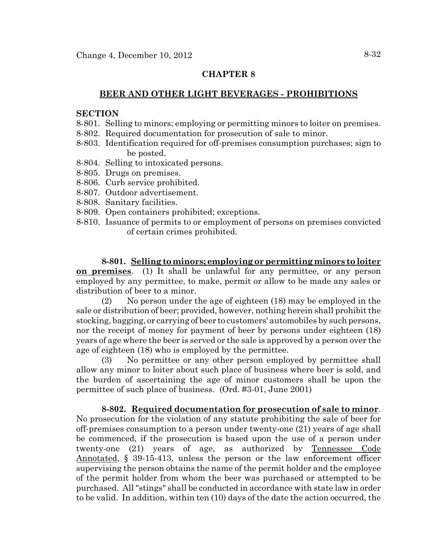### **BEER AND OTHER LIGHT BEVERAGES - PROHIBITIONS**

## **SECTION**

- 8-801. Selling to minors; employing or permitting minors to loiter on premises.
- 8-802. Required documentation for prosecution of sale to minor.
- 8-803. Identification required for off-premises consumption purchases; sign to be posted.
- 8-804. Selling to intoxicated persons.
- 8-805. Drugs on premises.
- 8-806. Curb service prohibited.
- 8-807. Outdoor advertisement.
- 8-808. Sanitary facilities.
- 8-809. Open containers prohibited; exceptions.
- 8-810. Issuance of permits to or employment of persons on premises convicted of certain crimes prohibited.

**8-801. Selling to minors; employing or permitting minors to loiter on premises**. (1) It shall be unlawful for any permittee, or any person employed by any permittee, to make, permit or allow to be made any sales or distribution of beer to a minor.

(2) No person under the age of eighteen (18) may be employed in the sale or distribution of beer; provided, however, nothing herein shall prohibit the stocking, bagging, or carrying of beer to customers' automobiles by such persons, nor the receipt of money for payment of beer by persons under eighteen (18) years of age where the beer is served or the sale is approved by a person over the age of eighteen (18) who is employed by the permittee.

(3) No permittee or any other person employed by permittee shall allow any minor to loiter about such place of business where beer is sold, and the burden of ascertaining the age of minor customers shall be upon the permittee of such place of business. (Ord. #3-01, June 2001)

**8-802. Required documentation for prosecution of sale to minor**. No prosecution for the violation of any statute prohibiting the sale of beer for off-premises consumption to a person under twenty-one (21) years of age shall be commenced, if the prosecution is based upon the use of a person under twenty-one (21) years of age, as authorized by Tennessee Code Annotated, § 39-15-413, unless the person or the law enforcement officer supervising the person obtains the name of the permit holder and the employee of the permit holder from whom the beer was purchased or attempted to be purchased. All "stings" shall be conducted in accordance with state law in order to be valid. In addition, within ten (10) days of the date the action occurred, the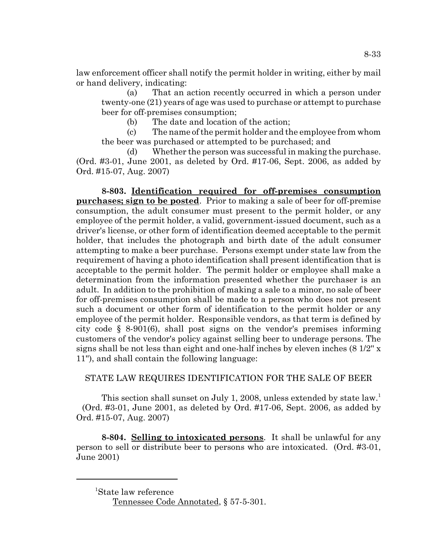law enforcement officer shall notify the permit holder in writing, either by mail or hand delivery, indicating:

(a) That an action recently occurred in which a person under twenty-one (21) years of age was used to purchase or attempt to purchase beer for off-premises consumption;

(b) The date and location of the action;

(c) The name of the permit holder and the employee from whom the beer was purchased or attempted to be purchased; and

(d) Whether the person was successful in making the purchase. (Ord. #3-01, June 2001, as deleted by Ord. #17-06, Sept. 2006, as added by Ord. #15-07, Aug. 2007)

**8-803. Identification required for off-premises consumption purchases; sign to be posted**. Prior to making a sale of beer for off-premise consumption, the adult consumer must present to the permit holder, or any employee of the permit holder, a valid, government-issued document, such as a driver's license, or other form of identification deemed acceptable to the permit holder, that includes the photograph and birth date of the adult consumer attempting to make a beer purchase. Persons exempt under state law from the requirement of having a photo identification shall present identification that is acceptable to the permit holder. The permit holder or employee shall make a determination from the information presented whether the purchaser is an adult. In addition to the prohibition of making a sale to a minor, no sale of beer for off-premises consumption shall be made to a person who does not present such a document or other form of identification to the permit holder or any employee of the permit holder. Responsible vendors, as that term is defined by city code § 8-901(6), shall post signs on the vendor's premises informing customers of the vendor's policy against selling beer to underage persons. The signs shall be not less than eight and one-half inches by eleven inches (8 1/2'' x 11''), and shall contain the following language:

# STATE LAW REQUIRES IDENTIFICATION FOR THE SALE OF BEER

This section shall sunset on July 1, 2008, unless extended by state law.<sup>1</sup> (Ord. #3-01, June 2001, as deleted by Ord. #17-06, Sept. 2006, as added by Ord. #15-07, Aug. 2007)

**8-804. Selling to intoxicated persons**. It shall be unlawful for any person to sell or distribute beer to persons who are intoxicated. (Ord. #3-01, June 2001)

<sup>1</sup> State law reference

Tennessee Code Annotated, § 57-5-301.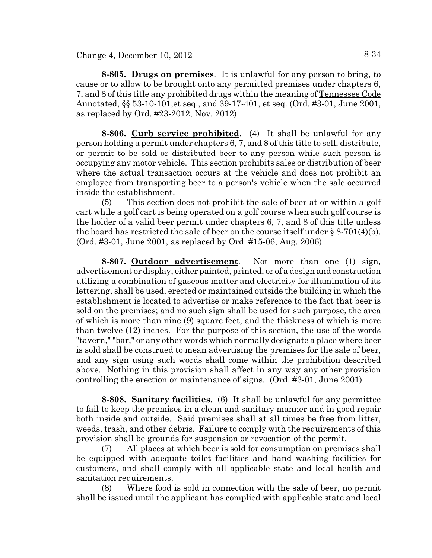Change 4, December 10,  $2012$  8-34

**8-805. Drugs on premises**. It is unlawful for any person to bring, to cause or to allow to be brought onto any permitted premises under chapters 6, 7, and 8 of this title any prohibited drugs within the meaning of Tennessee Code Annotated, §§ 53-10-101, et seq., and 39-17-401, et seq. (Ord. #3-01, June 2001, as replaced by Ord. #23-2012, Nov. 2012)

**8-806. Curb service prohibited**. (4) It shall be unlawful for any person holding a permit under chapters 6, 7, and 8 of this title to sell, distribute, or permit to be sold or distributed beer to any person while such person is occupying any motor vehicle. This section prohibits sales or distribution of beer where the actual transaction occurs at the vehicle and does not prohibit an employee from transporting beer to a person's vehicle when the sale occurred inside the establishment.

(5) This section does not prohibit the sale of beer at or within a golf cart while a golf cart is being operated on a golf course when such golf course is the holder of a valid beer permit under chapters 6, 7, and 8 of this title unless the board has restricted the sale of beer on the course itself under  $\S 8-701(4)(b)$ . (Ord. #3-01, June 2001, as replaced by Ord. #15-06, Aug. 2006)

**8-807. Outdoor advertisement**. Not more than one (1) sign, advertisement or display, either painted, printed, or of a design and construction utilizing a combination of gaseous matter and electricity for illumination of its lettering, shall be used, erected or maintained outside the building in which the establishment is located to advertise or make reference to the fact that beer is sold on the premises; and no such sign shall be used for such purpose, the area of which is more than nine (9) square feet, and the thickness of which is more than twelve (12) inches. For the purpose of this section, the use of the words "tavern," "bar," or any other words which normally designate a place where beer is sold shall be construed to mean advertising the premises for the sale of beer, and any sign using such words shall come within the prohibition described above. Nothing in this provision shall affect in any way any other provision controlling the erection or maintenance of signs. (Ord. #3-01, June 2001)

**8-808. Sanitary facilities**. (6) It shall be unlawful for any permittee to fail to keep the premises in a clean and sanitary manner and in good repair both inside and outside. Said premises shall at all times be free from litter, weeds, trash, and other debris. Failure to comply with the requirements of this provision shall be grounds for suspension or revocation of the permit.

(7) All places at which beer is sold for consumption on premises shall be equipped with adequate toilet facilities and hand washing facilities for customers, and shall comply with all applicable state and local health and sanitation requirements.

(8) Where food is sold in connection with the sale of beer, no permit shall be issued until the applicant has complied with applicable state and local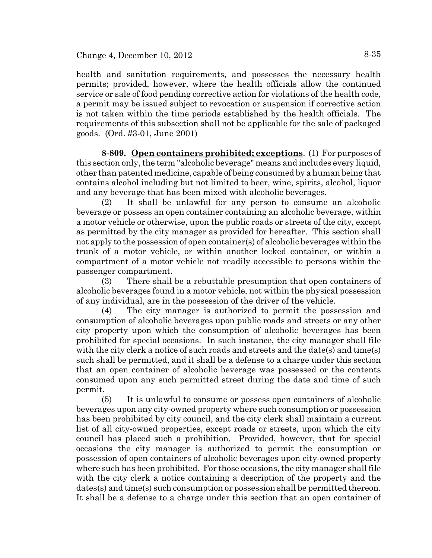health and sanitation requirements, and possesses the necessary health permits; provided, however, where the health officials allow the continued service or sale of food pending corrective action for violations of the health code, a permit may be issued subject to revocation or suspension if corrective action is not taken within the time periods established by the health officials. The requirements of this subsection shall not be applicable for the sale of packaged goods. (Ord. #3-01, June 2001)

**8-809. Open containers prohibited; exceptions**. (1) For purposes of this section only, the term "alcoholic beverage" means and includes every liquid, other than patented medicine, capable of being consumed by a human being that contains alcohol including but not limited to beer, wine, spirits, alcohol, liquor and any beverage that has been mixed with alcoholic beverages.

(2) It shall be unlawful for any person to consume an alcoholic beverage or possess an open container containing an alcoholic beverage, within a motor vehicle or otherwise, upon the public roads or streets of the city, except as permitted by the city manager as provided for hereafter. This section shall not apply to the possession of open container(s) of alcoholic beverages within the trunk of a motor vehicle, or within another locked container, or within a compartment of a motor vehicle not readily accessible to persons within the passenger compartment.

(3) There shall be a rebuttable presumption that open containers of alcoholic beverages found in a motor vehicle, not within the physical possession of any individual, are in the possession of the driver of the vehicle.

(4) The city manager is authorized to permit the possession and consumption of alcoholic beverages upon public roads and streets or any other city property upon which the consumption of alcoholic beverages has been prohibited for special occasions. In such instance, the city manager shall file with the city clerk a notice of such roads and streets and the date(s) and time(s) such shall be permitted, and it shall be a defense to a charge under this section that an open container of alcoholic beverage was possessed or the contents consumed upon any such permitted street during the date and time of such permit.

(5) It is unlawful to consume or possess open containers of alcoholic beverages upon any city-owned property where such consumption or possession has been prohibited by city council, and the city clerk shall maintain a current list of all city-owned properties, except roads or streets, upon which the city council has placed such a prohibition. Provided, however, that for special occasions the city manager is authorized to permit the consumption or possession of open containers of alcoholic beverages upon city-owned property where such has been prohibited. For those occasions, the city manager shall file with the city clerk a notice containing a description of the property and the dates(s) and time(s) such consumption or possession shall be permitted thereon. It shall be a defense to a charge under this section that an open container of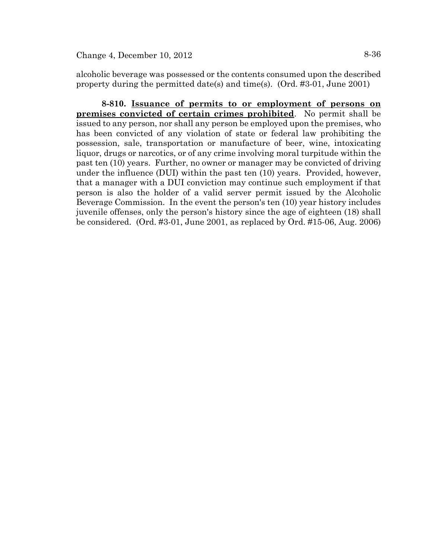alcoholic beverage was possessed or the contents consumed upon the described property during the permitted date(s) and time(s). (Ord. #3-01, June 2001)

**8-810. Issuance of permits to or employment of persons on premises convicted of certain crimes prohibited**. No permit shall be issued to any person, nor shall any person be employed upon the premises, who has been convicted of any violation of state or federal law prohibiting the possession, sale, transportation or manufacture of beer, wine, intoxicating liquor, drugs or narcotics, or of any crime involving moral turpitude within the past ten (10) years. Further, no owner or manager may be convicted of driving under the influence (DUI) within the past ten (10) years. Provided, however, that a manager with a DUI conviction may continue such employment if that person is also the holder of a valid server permit issued by the Alcoholic Beverage Commission. In the event the person's ten (10) year history includes juvenile offenses, only the person's history since the age of eighteen (18) shall be considered. (Ord. #3-01, June 2001, as replaced by Ord. #15-06, Aug. 2006)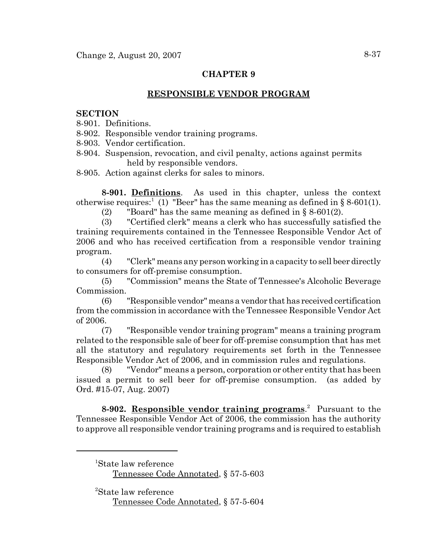## **RESPONSIBLE VENDOR PROGRAM**

### **SECTION**

8-901. Definitions.

- 8-902. Responsible vendor training programs.
- 8-903. Vendor certification.
- 8-904. Suspension, revocation, and civil penalty, actions against permits held by responsible vendors.
- 8-905. Action against clerks for sales to minors.

**8-901. Definitions**.As used in this chapter, unless the context otherwise requires:<sup>1</sup> (1) "Beer" has the same meaning as defined in  $\S 8-601(1)$ .

(2) "Board" has the same meaning as defined in  $\S$  8-601(2).

(3) "Certified clerk" means a clerk who has successfully satisfied the training requirements contained in the Tennessee Responsible Vendor Act of 2006 and who has received certification from a responsible vendor training program.

(4) "Clerk" means any person working in a capacity to sell beer directly to consumers for off-premise consumption.

(5) "Commission" means the State of Tennessee's Alcoholic Beverage Commission.

(6) "Responsible vendor" means a vendor that has received certification from the commission in accordance with the Tennessee Responsible Vendor Act of 2006.

(7) "Responsible vendor training program" means a training program related to the responsible sale of beer for off-premise consumption that has met all the statutory and regulatory requirements set forth in the Tennessee Responsible Vendor Act of 2006, and in commission rules and regulations.

(8) "Vendor" means a person, corporation or other entity that has been issued a permit to sell beer for off-premise consumption. (as added by Ord. #15-07, Aug. 2007)

**8-902. Responsible vendor training programs**. 2 Pursuant to the Tennessee Responsible Vendor Act of 2006, the commission has the authority to approve all responsible vendor training programs and is required to establish

 <sup>1</sup> State law reference Tennessee Code Annotated, § 57-5-603

 <sup>2</sup> State law reference Tennessee Code Annotated, § 57-5-604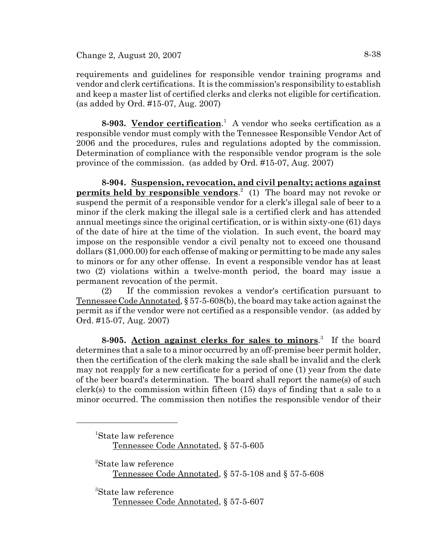requirements and guidelines for responsible vendor training programs and vendor and clerk certifications. It is the commission's responsibility to establish and keep a master list of certified clerks and clerks not eligible for certification. (as added by Ord. #15-07, Aug. 2007)

**8-903. Vendor certification**. 1 A vendor who seeks certification as a responsible vendor must comply with the Tennessee Responsible Vendor Act of 2006 and the procedures, rules and regulations adopted by the commission. Determination of compliance with the responsible vendor program is the sole province of the commission. (as added by Ord. #15-07, Aug. 2007)

**8-904. Suspension, revocation, and civil penalty; actions against permits held by responsible vendors**. 2 (1) The board may not revoke or suspend the permit of a responsible vendor for a clerk's illegal sale of beer to a minor if the clerk making the illegal sale is a certified clerk and has attended annual meetings since the original certification, or is within sixty-one (61) days of the date of hire at the time of the violation. In such event, the board may impose on the responsible vendor a civil penalty not to exceed one thousand dollars (\$1,000.00) for each offense of making or permitting to be made any sales to minors or for any other offense. In event a responsible vendor has at least two (2) violations within a twelve-month period, the board may issue a permanent revocation of the permit.

(2) If the commission revokes a vendor's certification pursuant to Tennessee Code Annotated, § 57-5-608(b), the board may take action against the permit as if the vendor were not certified as a responsible vendor. (as added by Ord. #15-07, Aug. 2007)

**8-905. Action against clerks for sales to minors**. 3 If the board determines that a sale to a minor occurred by an off-premise beer permit holder, then the certification of the clerk making the sale shall be invalid and the clerk may not reapply for a new certificate for a period of one (1) year from the date of the beer board's determination. The board shall report the name(s) of such clerk(s) to the commission within fifteen (15) days of finding that a sale to a minor occurred. The commission then notifies the responsible vendor of their

 <sup>1</sup> State law reference Tennessee Code Annotated, § 57-5-605

 <sup>2</sup> State law reference Tennessee Code Annotated, § 57-5-108 and § 57-5-608

 <sup>3</sup> State law reference Tennessee Code Annotated, § 57-5-607